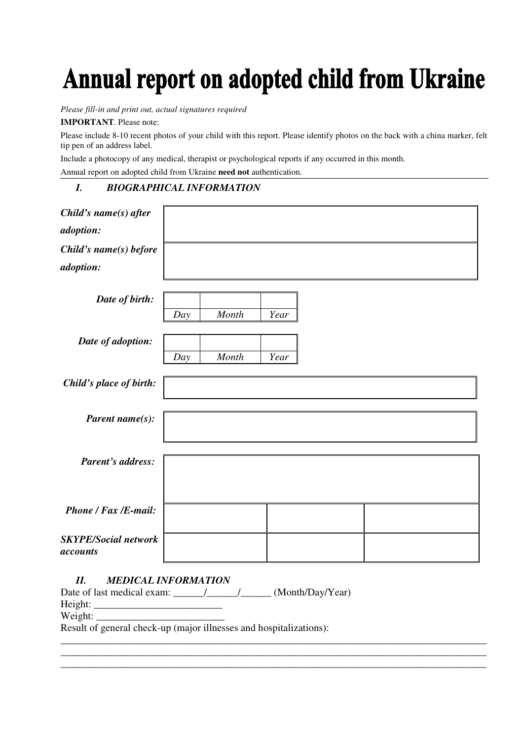# Annual report on adopted child from Ukraine

*Please fill-in and print out, actual signatures required* 

### **IMPORTANT**. Please note:

Please include 8-10 recent photos of your child with this report. Please identify photos on the back with a china marker, felt tip pen of an address label.

Include a photocopy of any medical, therapist or psychological reports if any occurred in this month.

Annual report on adopted child from Ukraine **need not** authentication.

## *I. BIOGRAPHICAL INFORMATION*

| Child's name(s) after<br>adoption:      |     |       |      |  |  |
|-----------------------------------------|-----|-------|------|--|--|
| Child's name(s) before<br>adoption:     |     |       |      |  |  |
| Date of birth:                          | Day | Month | Year |  |  |
| Date of adoption:                       | Day | Month | Year |  |  |
| Child's place of birth:                 |     |       |      |  |  |
| Parent name(s):                         |     |       |      |  |  |
| <b>Parent's address:</b>                |     |       |      |  |  |
| Phone / Fax /E-mail:                    |     |       |      |  |  |
| <b>SKYPE/Social network</b><br>accounts |     |       |      |  |  |

\_\_\_\_\_\_\_\_\_\_\_\_\_\_\_\_\_\_\_\_\_\_\_\_\_\_\_\_\_\_\_\_\_\_\_\_\_\_\_\_\_\_\_\_\_\_\_\_\_\_\_\_\_\_\_\_\_\_\_\_\_\_\_\_\_\_\_\_\_\_\_\_\_\_\_\_\_\_\_\_\_\_\_ \_\_\_\_\_\_\_\_\_\_\_\_\_\_\_\_\_\_\_\_\_\_\_\_\_\_\_\_\_\_\_\_\_\_\_\_\_\_\_\_\_\_\_\_\_\_\_\_\_\_\_\_\_\_\_\_\_\_\_\_\_\_\_\_\_\_\_\_\_\_\_\_\_\_\_\_\_\_\_\_\_\_\_

## *II. MEDICAL INFORMATION*

| Date of last medical exam:<br>(Month/Day/Year)                     |  |
|--------------------------------------------------------------------|--|
| Height:                                                            |  |
| Weight:                                                            |  |
| Result of general check-up (major illnesses and hospitalizations): |  |
|                                                                    |  |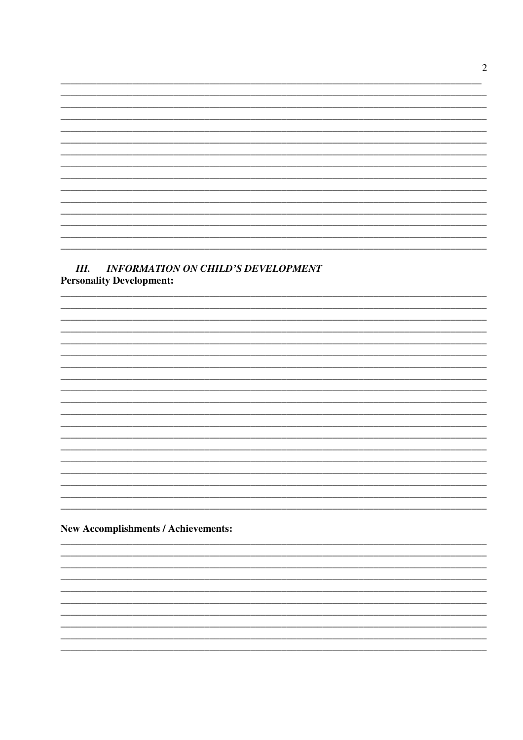**INFORMATION ON CHILD'S DEVELOPMENT** Ш. **Personality Development:** 

New Accomplishments / Achievements: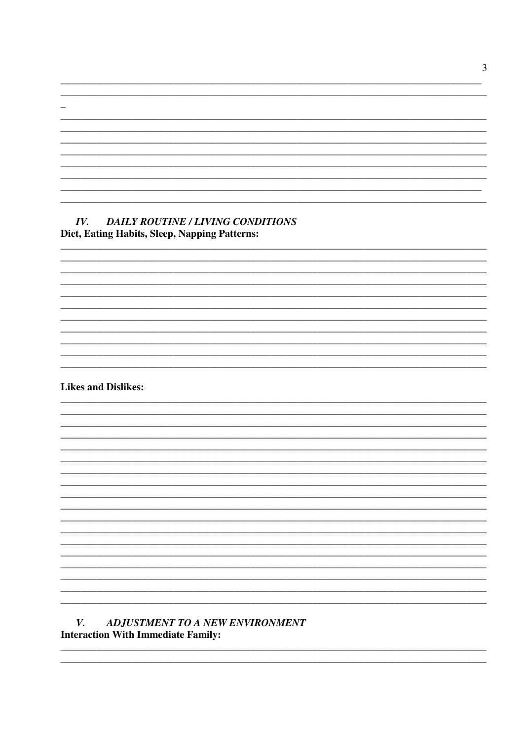#### **DAILY ROUTINE / LIVING CONDITIONS** IV. Diet, Eating Habits, Sleep, Napping Patterns:

**Likes and Dislikes:** 

 $\overline{\phantom{0}}$ 

**ADJUSTMENT TO A NEW ENVIRONMENT** V. **Interaction With Immediate Family:**